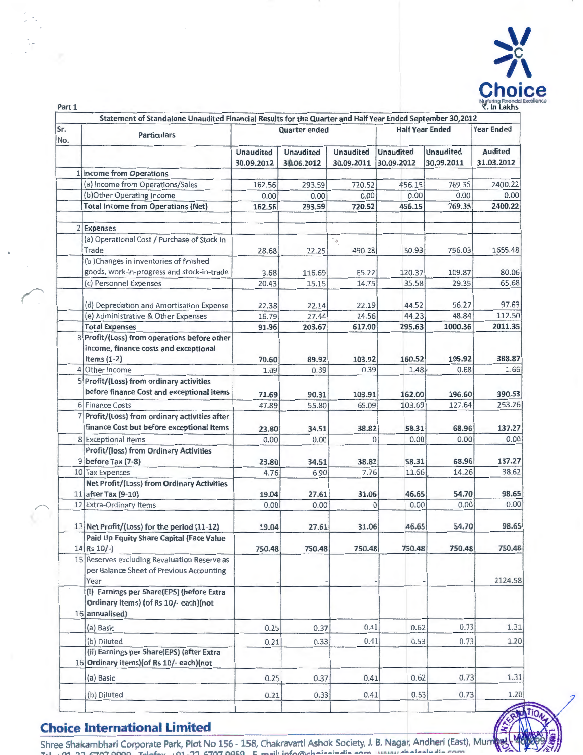

|            | Statement of Standalone Unaudited Financial Results for the Quarter and Half Year Ended September 30,2012 |                                |                                |                                               |                         |                                |                              |
|------------|-----------------------------------------------------------------------------------------------------------|--------------------------------|--------------------------------|-----------------------------------------------|-------------------------|--------------------------------|------------------------------|
| Sr.<br>No. | <b>Particulars</b>                                                                                        |                                | <b>Quarter ended</b>           |                                               |                         | <b>Half Year Ended</b>         | <b>Year Ended</b>            |
|            |                                                                                                           | <b>Unaudited</b><br>30.09.2012 | <b>Unaudited</b><br>30.06.2012 | <b>Unaudited</b><br>30.09.2011                | Unaudited<br>30.09.2012 | <b>Unaudited</b><br>30.09.2011 | <b>Audited</b><br>31.03.2012 |
|            | 1 Income from Operations                                                                                  |                                |                                |                                               |                         |                                |                              |
|            | (a) Income from Operations/Sales                                                                          | 162.56                         | 293.59                         | 720.52                                        | 456.15                  | 769.35                         | 2400.22                      |
|            | (b)Other Operating Income                                                                                 | 0.00                           | 0.00                           | 0.00                                          | 0.00                    | 0.00                           | 0.00                         |
|            | <b>Total Income from Operations (Net)</b>                                                                 | 162.56                         | 293.59                         | 720.52                                        | 456.15                  | 769.35                         | 2400.22                      |
|            | 2 Expenses                                                                                                |                                |                                |                                               |                         |                                |                              |
|            | (a) Operational Cost / Purchase of Stock in<br>Trade                                                      | 28.68                          | 22.25                          | $\cdot$ $\!\!$ $\!\!$ $\!\!$ $\!\!$<br>490.28 | 50.93                   | 756.03                         | 1655.48                      |
|            | (b) Changes in inventories of finished                                                                    |                                |                                |                                               |                         |                                |                              |
|            | goods, work-in-progress and stock-in-trade                                                                | 3.68                           | 116.69                         | 65.22                                         | 120.37                  | 109.87                         | 80.06                        |
|            | (c) Personnel Expenses                                                                                    | 20.43                          | 15.15                          | 14.75                                         | 35.58                   | 29.35                          | 65.68                        |
|            | (d) Depreciation and Amortisation Expense                                                                 | 22.38                          | 22.14                          | 22.19                                         | 44.52                   | 56.27                          | 97.63                        |
|            | (e) Administrative & Other Expenses                                                                       | 16.79                          | 27.44                          | 24.56                                         | 44.23                   | 48.84                          | 112.50                       |
|            | <b>Total Expenses</b>                                                                                     | 91.96                          | 203.67                         | 617.00                                        | 295.63                  | 1000.36                        | 2011.35                      |
|            | 3 Profit/(Loss) from operations before other<br>income, finance costs and exceptional<br>Items $(1-2)$    | 70.60                          | 89.92                          | 103.52                                        | 160.52                  | 195.92                         | 388.87                       |
|            | 4 Other Income                                                                                            | 1.09                           | 0.39                           | 0.39                                          | 1.48                    | 0.68                           | 1.66                         |
|            | 5 Profit/(Loss) from ordinary activities                                                                  |                                |                                |                                               |                         |                                |                              |
|            | before finance Cost and exceptional items                                                                 | 71.69                          | 90.31                          | 103.91                                        | 162.00                  | 196.60                         | 390.53                       |
|            | 6 Finance Costs                                                                                           | 47.89                          | 55.80                          | 65.09                                         | 103.69                  | 127.64                         | 253.26                       |
|            | 7 Profit/(Loss) from ordinary activities after<br>finance Cost but before exceptional Items               | 23.80                          | 34.51                          | 38.82                                         | 58.31                   | 68.96                          | 137.27                       |
|            | 8 Exceptional Items                                                                                       | 0.00                           | 0.00                           | $\Omega$                                      | 0.00                    | 0.00                           | 0.00                         |
|            | <b>Profit/(loss) from Ordinary Activities</b><br>9 before Tax (7-8)                                       |                                |                                | 38.82                                         | 58.31                   | 68.96                          | 137.27                       |
|            | 10 Tax Expenses                                                                                           | 23.80<br>4.76                  | 34.51                          | 7.76                                          | 11.66                   | 14.26                          | 38.62                        |
|            | Net Profit/(Loss) from Ordinary Activities                                                                |                                | 6.90                           |                                               |                         |                                |                              |
|            |                                                                                                           |                                |                                |                                               | 46.65                   | 54.70                          | 98.65                        |
|            | 11 after Tax (9-10)<br>12 Extra-Ordinary Items                                                            | 19.04<br>0.00                  | 27.61<br>0.00                  | 31.06<br>$\Omega$                             | 0.00                    | 0.00                           | 0.00                         |
|            |                                                                                                           |                                |                                |                                               |                         |                                |                              |
|            | 13 Net Profit/(Loss) for the period (11-12)                                                               | 19.04                          | 27.61                          | 31.06                                         | 46.65                   | 54.70                          | 98.65                        |
|            | Paid Up Equity Share Capital (Face Value<br>$14$ Rs $10/-$                                                | 750.48                         | 750.48                         | 750.48                                        | 750.48                  | 750.48                         | 750.48                       |
|            | 15 Reserves excluding Revaluation Reserve as<br>per Balance Sheet of Previous Accounting<br>Year          |                                |                                |                                               |                         |                                | 2124.58                      |
|            | (i) Earnings per Share(EPS) (before Extra<br>Ordinary items) (of Rs 10/- each)(not<br>16 annualised)      |                                |                                |                                               |                         |                                |                              |
|            | (a) Basic                                                                                                 | 0.25                           | 0.37                           | 0.41                                          | 0.62                    | 0.73                           | 1.31                         |
|            | (b) Diluted                                                                                               | 0.21                           | 0.33                           | 0.41                                          | 0.53                    | 0.73                           | 1.20                         |
|            | (ii) Earnings per Share(EPS) (after Extra<br>16 Ordinary items) (of Rs 10/- each) (not                    |                                |                                |                                               |                         |                                |                              |
|            | (a) Basic                                                                                                 | 0.25                           | 0.37                           | 0.41                                          | 0.62                    | 0.73                           | 1.31                         |
|            | (b) Diluted                                                                                               | 0.21                           | 0.33                           | 0.41                                          | 0.53                    | 0.73                           | 1.20                         |
|            |                                                                                                           |                                |                                |                                               |                         |                                | Tall                         |

## **Choice International Limited**

Part 1

Shree Shakambhari Corporate Park, Plot No 156 - 158, Chakravarti Ashok Society, J. B. Nagar, Andheri (East), Mum**ine (1988) 57**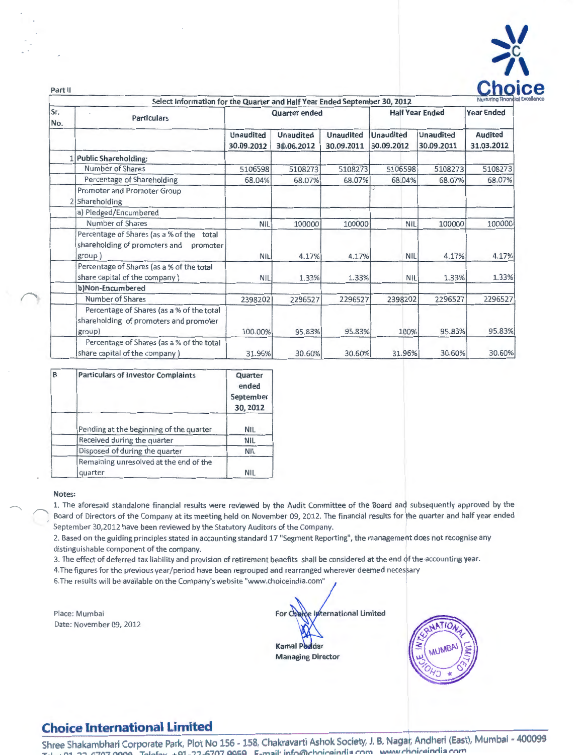

| Part II    |                                                                                                     |                                |                                                                                                   |                                |                                |                                | <b>Nurturing Finand</b>      |  |
|------------|-----------------------------------------------------------------------------------------------------|--------------------------------|---------------------------------------------------------------------------------------------------|--------------------------------|--------------------------------|--------------------------------|------------------------------|--|
| Sr.<br>No. | <b>Particulars</b>                                                                                  |                                | Select Information for the Quarter and Half Year Ended September 30, 2012<br><b>Quarter ended</b> |                                |                                | <b>Half Year Ended</b>         |                              |  |
|            |                                                                                                     | <b>Unaudited</b><br>30.09.2012 | <b>Unaudited</b><br>30.06.2012                                                                    | <b>Unaudited</b><br>30.09.2011 | <b>Unaudited</b><br>30.09.2012 | <b>Unaudited</b><br>30.09.2011 | <b>Audited</b><br>31.03.2012 |  |
|            | 1 Public Shareholding:                                                                              |                                |                                                                                                   |                                |                                |                                |                              |  |
|            | Number of Shares                                                                                    | 5106598                        | 5108273                                                                                           | 5108273                        | 5106598                        | 5108273                        | 5108273                      |  |
|            | Percentage of Shareholding                                                                          | 68.04%                         | 68.07%                                                                                            | 68.07%                         | 68.04%                         | 68.07%                         | 68.07%                       |  |
|            | Promoter and Promoter Group<br>2 Shareholding                                                       |                                |                                                                                                   |                                |                                |                                |                              |  |
|            | a) Pledged/Encumbered                                                                               |                                |                                                                                                   | $\sim$                         |                                |                                |                              |  |
|            | Number of Shares                                                                                    | <b>NIL</b>                     | 100000                                                                                            | 100000                         | <b>NIL</b>                     | 100000                         | 100000                       |  |
|            | Percentage of Shares (as a % of the<br>total<br>shareholding of promoters and<br>promoter<br>group) | <b>NIL</b>                     | 4.17%                                                                                             | 4.17%                          | <b>NIL</b>                     | 4.17%                          | 4.17%                        |  |
|            | Percentage of Shares (as a % of the total<br>share capital of the company)                          | <b>NIL</b>                     | 1.33%                                                                                             | 1.33%                          | <b>NIL</b>                     | 1.33%                          | 1.33%                        |  |
|            | b)Non-Encumbered                                                                                    |                                |                                                                                                   |                                |                                |                                |                              |  |
|            | Number of Shares                                                                                    | 2398202                        | 2296527                                                                                           | 2296527                        | 2398202                        | 2296527                        | 2296527                      |  |
|            | Percentage of Shares (as a % of the total<br>shareholding of promoters and promoter<br>group)       | 100.00%                        | 95.83%                                                                                            | 95.83%                         | 100%                           | 95.83%                         | 95.83%                       |  |
|            | Percentage of Shares (as a % of the total<br>share capital of the company)                          | 31.96%                         | 30.60%                                                                                            | 30.60%                         | 31.96%                         | 30.60%                         | 30.60%                       |  |

| B | <b>Particulars of Investor Complaints</b>         | Quarter<br>ended<br>September<br>30, 2012 |
|---|---------------------------------------------------|-------------------------------------------|
|   | Pending at the beginning of the quarter           | <b>NIL</b>                                |
|   | Received during the quarter                       | <b>NIL</b>                                |
|   | Disposed of during the quarter                    | <b>NIL</b>                                |
|   | Remaining unresolved at the end of the<br>quarter | <b>NIL</b>                                |

#### **Notes:**

1. The aforesaid standalone financial results were reviewed by the Audit Committee of the Board and subsequently approved by the Board of Directors of the Company at its meeting held on November 09, 2012. The financial results for the quarter and half year ended September 30,2012 have been reviewed by the Statutory Auditors of the Company.

2. Based on the guiding principles stated in accounting standard 17 "Segment Reporting", the management does not recognise any distinguishable component of the company.

3. The effect of deferred tax liability and provision of retirement benefits shall be considered at the end of the accounting year.

4.The figures for the previous year/period have been regrouped and rearranged wherever deemed necessary

6.The results will be available on the Company's website "www.choiceindia.com"

Place: Mumbai Date: November 09, 2012

International Limited  $For  $6$$ **Kamal Poddar Managing Director** 



# **Choice International Limited**

Shree Shakambhari Corporate Park, Plot No 156 - 158, Chakravarti Ashok Society, J. B. Nagar, Andheri (East), Mumbai - 400099 **Tj:)l +Q1 -77-n707 QQQQ Tj:)lj:)bv +Q1 - 77-n707 QQ"Q s:. m:::.il· infnliilrhntrQtnrlt:::. rnm IAiwwrhntrQJnrlt:::. rnm**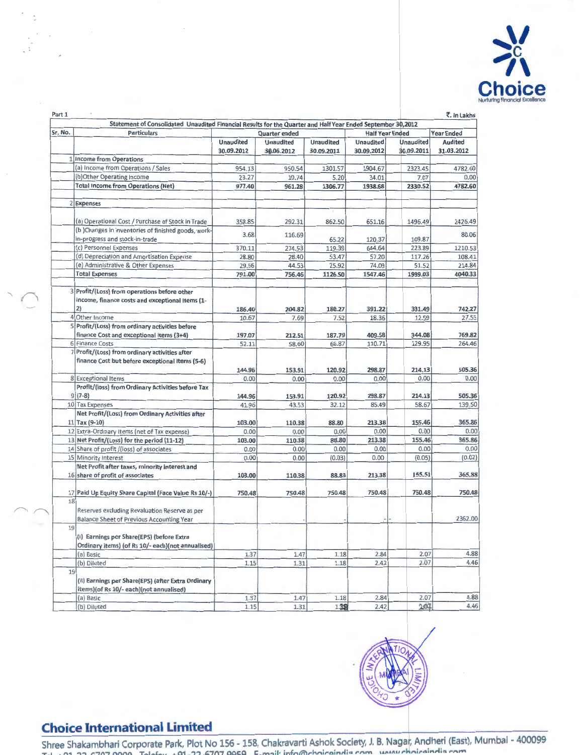

|         | Statement of Consolidated Unaudited Financial Results for the Quarter and Half Year Ended September 30,2012 |                  |                  |                  |                        |            |                   |
|---------|-------------------------------------------------------------------------------------------------------------|------------------|------------------|------------------|------------------------|------------|-------------------|
| Sr. No. | <b>Particulars</b>                                                                                          |                  | Quarter ended    |                  | <b>Half Year Ended</b> |            | <b>Year Ended</b> |
|         |                                                                                                             | <b>Unaudited</b> | <b>Unaudited</b> | <b>Unaudited</b> | Unaudited              | Unaudited  | Audited           |
|         |                                                                                                             | 30.09.2012       | 30.06.2012       | 30.09.2011       | 30.09.2012             | 30.09.2011 | 31.03.2012        |
|         | 1 Income from Operations                                                                                    |                  |                  |                  |                        |            |                   |
|         | (a) Income from Operations / Sales                                                                          | 954.13           | 950.54           | 1301.57          | 1904.67                | 2323.45    | 4782.60           |
|         | (b) Other Operating Income                                                                                  | 23.27            | 10.74            | 5.20             | 34.01                  | 7.07       | 0.00              |
|         | <b>Total Income from Operations (Net)</b>                                                                   | 977.40           | 961.28           | 1306.77          | 1938.68                | 2330.52    | 4782.60           |
|         | 2 Expenses                                                                                                  |                  |                  |                  |                        |            |                   |
|         | (a) Operational Cost / Purchase of Stock in Trade                                                           | 358.85           | 292.31           | 862.50           | 651.16                 | 1496.49    | 2426.49           |
|         | (b) Changes in inventories of finished goods, work-                                                         |                  |                  |                  |                        |            |                   |
|         | in-progress and stock-in-trade                                                                              | 3.68             | 116.69           | 65.22            | 120.37                 | 109.87     | 80.06             |
|         | (c) Personnel Expenses                                                                                      | 370.11           | 274.53           | 119.39           | 644.64                 | 223.89     | 1210.53           |
|         | (d) Depreciation and Amortisation Expense                                                                   | 28.80            | 28.40            | 53.47            | 57.20                  | 117.26     | 108.41            |
|         | (e) Administrative & Other Expenses                                                                         | 29.56            | 44.53            | 25.92            | 74.09                  | 51.52      | 214.84            |
|         | <b>Total Expenses</b>                                                                                       | 791.00           | 756.46           | 1126.SO          | 1547.46                | 1999.03    | 4040.33           |
|         | 3 Profit/(Loss) from operations before other<br>income, finance costs and exceptional Items (1-<br>2)       | 186.40           | 204.82           | 180.27           | 391.22                 | 331.49     | 742.27            |
|         | 4 Other Income                                                                                              | 10.67            | 7.69             | 7.52             | 18.36                  | 12.59      | 27.55             |
|         | 5 Profit/(Loss) from ordinary activities before                                                             |                  |                  |                  |                        |            |                   |
|         | finance Cost and exceptional items (3+4)                                                                    | 197.07           | 212.51           | 187.79           | 409.58                 | 344.08     | 769.82            |
|         | 6 Finance Costs                                                                                             | 52.11            | 58.60            | 66.87            | 110.71                 | 129.95     | 264.46            |
|         | 7 Profit/(Loss) from ordinary activities after                                                              |                  |                  |                  |                        |            |                   |
|         | finance Cost but before exceptional Items (5-6)                                                             |                  |                  |                  |                        |            |                   |
|         |                                                                                                             | 144.96           | 153.91           | 120.92           | 298.87                 | 214.13     | 505.36            |
|         | 8 Exceptional Items                                                                                         | 0.00             | 0.00             | 0.00             | 0.00                   | 0.00       | 0.00              |
|         | Profit/(loss) from Ordinary Activities before Tax                                                           |                  |                  |                  |                        |            |                   |
|         | $9(7-8)$                                                                                                    | 144.96           | 153.91           | 120.92           | 298.87                 | 214.13     | 505.36            |
|         | 10 Tax Expenses                                                                                             | 41.96            | 43.53            | 32.12            | 85.49                  | 58.67      | 139.50            |
|         | Net Profit/(Loss) from Ordinary Activities after                                                            |                  |                  |                  |                        |            |                   |
|         | $11$ Tax (9-10)                                                                                             | 103.00           | 110.38           | 88.80            | 213.38                 | 155.46     | 365.86            |
|         | 12 Extra-Ordinary Items (net of Tax expense)                                                                | 0.00             | 0.00             | 0.00             | 0.00                   | 0.00       | 0.00              |
|         | 13 Net Profit/(Loss) for the period (11-12)                                                                 | 103.00           | 110.38           | 88.80            | 213.38                 | 155.46     | 365.86            |
|         | 14 Share of profit /(loss) of associates                                                                    | 0.00             | 0.00             | 0.00             | 0.00                   | 0.00       | 0.00              |
|         | 15 Minority Interest                                                                                        | 0.00             | 0.00             | (0.03)           | 0.00                   | (0.05)     | (0.02)            |
|         | Net Profit after taxes, minority interest and                                                               |                  |                  |                  |                        |            |                   |
|         | 16 share of profit of associates                                                                            | 103.00           | 110.38           | 88.83            | 213.38                 | 155.51     | 365.88            |
|         | 17 Paid Up Equity Share Capital (Face Value Rs 10/-)                                                        | 750.48           | 750.48           | 750.48           | 750.48                 | 750.48     | 750.48            |
| 18      |                                                                                                             |                  |                  |                  |                        |            |                   |
|         | Reserves excluding Revaluation Reserve as per                                                               |                  |                  |                  |                        |            |                   |
|         | Balance Sheet of Previous Accounting Year                                                                   |                  |                  |                  |                        |            | 2362.00           |
| 19      |                                                                                                             |                  |                  |                  |                        |            |                   |
|         | (i) Earnings per Share(EPS) (before Extra<br>Ordinary items) (of Rs 10/- each)(not annualised)              |                  |                  |                  |                        |            |                   |
|         | (a) Basic                                                                                                   | 1.37             | 1.47             | 1.18             | 2.84                   | 2.07       | 4.88              |
|         | (b) Diluted                                                                                                 | 1.15             | 1.31             | 1.18             | 2.42                   | 2.07       | 4.46              |
| 19      |                                                                                                             |                  |                  |                  |                        |            |                   |
|         | (ii) Earnings per Share(EPS) (after Extra Ordinary                                                          |                  |                  |                  |                        |            |                   |
|         | items)(of Rs 10/- each)(not annualised)                                                                     |                  |                  |                  |                        |            |                   |
|         | (a) Basic                                                                                                   | 1.37             | 1.47             | 1.18             | 2.84                   | 2.07       | 4.88              |
|         | (b) Diluted                                                                                                 | 1.15             | 1.31             | 1.38             | 2.42                   | 2.01       | 4.46              |



# **Choice International Limited**

'

Shree Shakambhari Corporate Park, Piot No 156 - 158, Chakravarti Ashok Society, J. B. Nagar, Andheri (East), Mumbal - 400099 **TPI +Q1-77-n707 qqqq** TPI~:~bv **+Q1 . ??. t:.7n7 QQE;Q l=. m:::sil•** infn~rhniroinrlia '""'""" ,.,..,,.,,. **nit"oirvlis** ,. ... ,....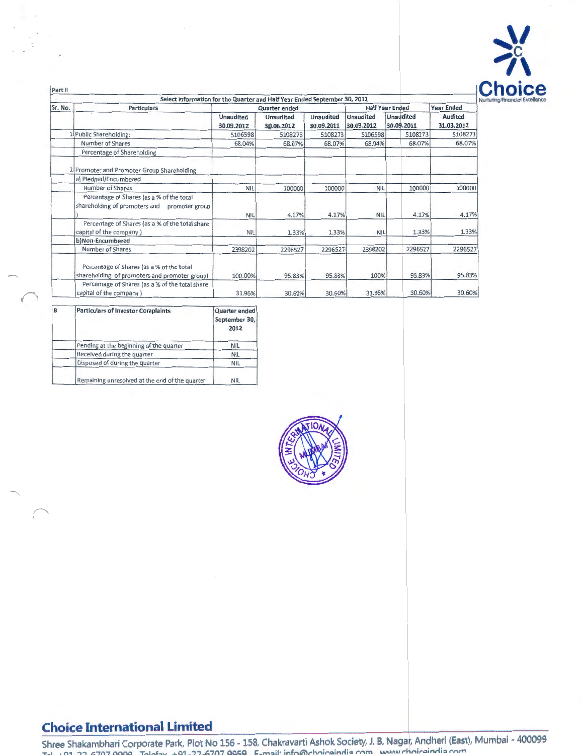

| Part II | Select Information for the Quarter and Half Year Ended September 30, 2012                    |                         |                         |                                |                                |                         |                              |
|---------|----------------------------------------------------------------------------------------------|-------------------------|-------------------------|--------------------------------|--------------------------------|-------------------------|------------------------------|
| Sr. No. | <b>Particulars</b>                                                                           |                         | Quarter ended           |                                |                                | <b>Half Year Ended</b>  | <b>Year Ended</b>            |
|         |                                                                                              | Unaudited<br>30.09.2012 | Unaudited<br>30.06.2012 | <b>Unaudited</b><br>30.09.2011 | <b>Unaudited</b><br>30.09.2012 | Unaudited<br>30.09.2011 | <b>Audited</b><br>31.03.2012 |
|         | 1 Public Shareholding:                                                                       | 5106598                 | 5108273                 | 5108273                        | 5106598                        | 5108273                 | 5108273                      |
|         | Number of Shares                                                                             | 68.04%                  | 68.07%                  | 68.07%                         | 68.04%                         | 68.07%                  | 68.07%                       |
|         | Percentage of Shareholding                                                                   |                         |                         |                                |                                |                         |                              |
|         | 2 Promoter and Promoter Group Shareholding                                                   |                         |                         |                                |                                |                         |                              |
|         | a) Pledged/Encumbered                                                                        |                         |                         |                                |                                |                         |                              |
|         | Number of Shares                                                                             | <b>NIL</b>              | 100000                  | 100000                         | <b>NIL</b>                     | 100000                  | 100000                       |
|         | Percentage of Shares (as a % of the total<br>shareholding of promoters and<br>promoter group | NIL                     | 4.17%                   | 4.17%                          | NIL                            | 4.17%                   | 4.17%                        |
|         | Percentage of Shares (as a % of the total share<br>capital of the company)                   | <b>NIL</b>              | 1.33%                   | 1.33%                          | <b>NIL</b>                     | 1.33%                   | 1.33%                        |
|         | b)Non-Encumbered                                                                             |                         |                         |                                |                                |                         |                              |
|         | Number of Shares                                                                             | 2398202                 | 2296527                 | 2296527                        | 2398202                        | 2296527                 | 2296527                      |
|         | Percentage of Shares (as a % of the total<br>shareholding of promoters and promoter group)   | 100.00%                 | 95.83%                  | 95.83%                         | 100%                           | 95.83%                  | 95.83%                       |
|         | Percentage of Shares (as a % of the total share<br>capital of the company)                   | 31.96%                  | 30.60%                  | 30.60%                         | 31.96%                         | 30.60%                  | 30.60%                       |

| B | <b>Particulars of Investor Complaints</b>      | <b>Quarter ended</b><br>September 30,<br>2012 |
|---|------------------------------------------------|-----------------------------------------------|
|   | Pending at the beginning of the quarter        | <b>NIL</b>                                    |
|   | Received during the quarter                    | <b>NIL</b>                                    |
|   | Disposed of during the quarter                 | <b>NIL</b>                                    |
|   | Remaining unresolved at the end of the quarter | <b>NIL</b>                                    |



# **Choice International Limited**

**Shree Shakambhari Corporate Park, Plot No 156 - 158, Chakravarti Ashok Society, J. B. Naga , Andheri (East), Mumbai - 400099 T@.l. +Ql-77-6707 qqqq TPIPbY +Q1 -7?-n707 QQJ:;Q** m::.il • **infnl'li'lrhniroinrli::. rnm IAI\AJUJI" niroinrli::. rnm**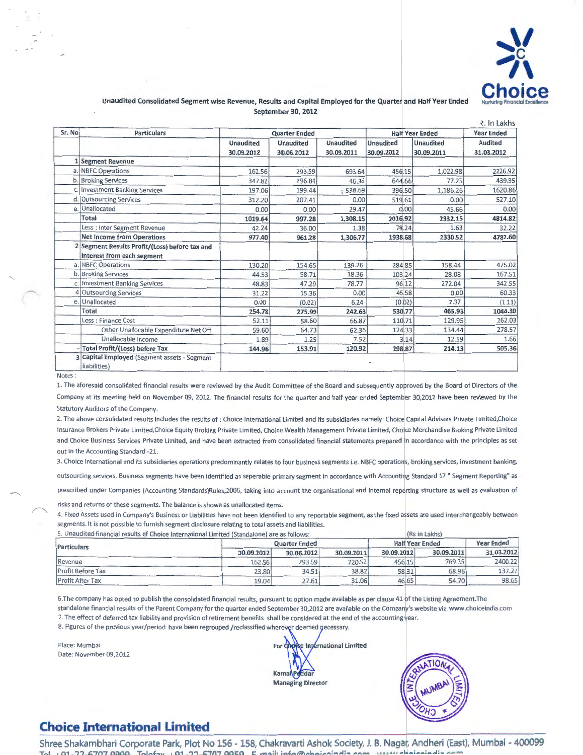

#### Unaudited Consolidated Segment wise Revenue, Results and Capital Employed for the Quarter and Half Year Ended September 30, 2012

|        |                                                                              |                                |                                |                                |                                |                                | र. In Lakhs                  |
|--------|------------------------------------------------------------------------------|--------------------------------|--------------------------------|--------------------------------|--------------------------------|--------------------------------|------------------------------|
| Sr. No | <b>Particulars</b>                                                           |                                | <b>Quarter Ended</b>           |                                |                                | <b>Half Year Ended</b>         | <b>Year Ended</b>            |
|        |                                                                              | <b>Unaudited</b><br>30.09.2012 | <b>Unaudited</b><br>30.06.2012 | <b>Unaudited</b><br>30.09.2011 | <b>Unaudited</b><br>30.09.2012 | <b>Unaudited</b><br>30.09.2011 | <b>Audited</b><br>31.03.2012 |
|        | 1 Segment Revenue                                                            |                                |                                |                                |                                |                                |                              |
|        | a. NBFC Operations                                                           | 162.56                         | 293.59                         | 693.64                         | 456.15                         | 1,022.98                       | 2226.92                      |
|        | b. Broking Services                                                          | 347.82                         | 296.84                         | 46.35                          | 644.66                         | 77.25                          | 439.95                       |
|        | c. Investment Banking Services                                               | 197.06                         | 199.44                         | \$538.69                       | 396.50                         | 1,186.26                       | 1620.86                      |
|        | d. Outsourcing Services                                                      | 312.20                         | 207.41                         | 0.00                           | 519.61                         | 0.00                           | 527.10                       |
|        | e. Unallocated                                                               | 0.00                           | 0.00                           | 29.47                          | 0.00                           | 45.66                          | 0.00                         |
|        | Total                                                                        | 1019.64                        | 997.28                         | 1,308.15                       | 2016.92                        | 2332.15                        | 4814.82                      |
|        | Less : Inter Segment Revenue                                                 | 42.24                          | 36.00                          | 1.38                           | 78.24                          | 1.63                           | 32.22                        |
|        | <b>Net Income from Operations</b>                                            | 977.40                         | 961.28                         | 1,306.77                       | 1938.68                        | 2330.52                        | 4782.60                      |
|        | 2 Segment Results Profit/(Loss) before tax and<br>interest from each segment |                                |                                |                                |                                |                                |                              |
|        | a. NBFC Operations                                                           | 130.20                         | 154.65                         | 139.26                         | 284.85                         | 158.44                         | 475.02                       |
|        | b. Broking Services                                                          | 44.53                          | 58.71                          | 18.36                          | 103.24                         | 28.08                          | 167.51                       |
|        | c. Investment Banking Services                                               | 48.83                          | 47.29                          | 78.77                          | 96.12                          | 272.04                         | 342.55                       |
|        | Outsourcing Services                                                         | 31.22                          | 15.36                          | 0.00                           | 46.58                          | 0.00                           | 60.33                        |
| e.     | Unallocated                                                                  | 0.00                           | (0.02)                         | 6.24                           | (0.02)                         | 7.37                           | (1.11)                       |
|        | Total                                                                        | 254.78                         | 275.99                         | 242.63                         | 530.77                         | 465.93                         | 1044.30                      |
|        | Less: Finance Cost                                                           | 52.11                          | 58.60                          | 66.87                          | 110.71                         | 129.95                         | 262.03                       |
|        | Other Unallocable Expenditure Net Off                                        | 59.60                          | 64.73                          | 62.36                          | 124.33                         | 134.44                         | 278.57                       |
|        | Unallocable Income                                                           | 1.89                           | 1.25                           | 7.52                           | 3.14                           | 12.59                          | 1.66                         |
|        | <b>Total Profit/(Loss) before Tax</b>                                        | 144.96                         | 153.91                         | 120.92                         | 298.87                         | 214.13                         | 505.36                       |
| R      | Capital Employed (Segment assets - Segment<br>liabilities)                   |                                |                                |                                |                                |                                |                              |

Notes:

1. The aforesaid consolidated financial results were reviewed by the Audit Committee of the Board and subsequently approved by the Board of Directors of the Company at its meeting held on November 09, 2012. The financial results for the quarter and half year ended September 30,2012 have been reviewed by the

Statutory Auditors of the Company.<br>2. The above consolidated results includes the results of : Choice International Limited and its subsidiaries namely: Choice Capital Advisors Private Limited,Choice Insurance Brokers Private Limited,Choice Equity Broking Private Limited, Choice Wealth Management Private Limited, Choice Merchandise Broking Private Limited and Choice Business Services Private Limited, and have been extracted from consolidated financial statements prepared in accordance with the principles as set out in the Accounting Standard -21.

3. Choice International and its subsidiaries operations predominantly relates to four business segments i.e. NBFC operatiols, braking services, investment banking, outsourcing services. Business segments have been identified as seperable primary segment in accordance with Accounting Standard 17 "Segment Reporting" as prescribed under Companies (Accounting Standards)Rules,2006, taking into account the organisational and internal reporting structure as well as evaluation of

risks and returns of these segments. The balance is shown as unallocated items.

4. Fixed Assets used in Company's Business or Liabilities have not been identified to any reportable segment, as the fixed assets are used interchangeably between segments. It is not possible to furnish segment disclosure relating to total assets and liabilities.

| 5. Unaudited financial results of Choice International Limited (Standalone) are as follows: |                      | (Rs in Lakhs)          |                   |            |            |            |
|---------------------------------------------------------------------------------------------|----------------------|------------------------|-------------------|------------|------------|------------|
| Particulars                                                                                 | <b>Quarter Ended</b> | <b>Half Year Ended</b> | <b>Year Ended</b> |            |            |            |
|                                                                                             | 30.09.2012           | 30.06.2012             | 30.09.2011        | 30.09.2012 | 30.09.2011 | 31.03.2012 |
| Revenue                                                                                     | 162.56               | 293.59                 | 720.52            | 456.15     | 769.35     | 2400.22    |
| <b>Profit Before Tax</b>                                                                    | 23.80                | 34.51                  | 38.82             | 58.31      | 68.96      | 137.27     |
| <b>Profit After Tax</b>                                                                     | 19.04                | 27.61                  | 31.06             | 46.65      | 54.70      | 98.65      |

6.The company has opted to publish the consolidated financial results, pursuant to option made available as per clause 41 of the Listing Agreement. The standalone financial results of the Parent Company for the quarter ended September 30,2012 are available on the Company's website viz. www.choiceindia.com 7. The effect of deferred tax liability and provision of retirement benefits shall be considered at the end of the accounting year.

8. Figures of the previous year/period have been regrouped /reclassified wherever deemed necessary.

Place: Mumbai For C Date: November 09,2012

e International Limited KamaNPedda Managing Director



## **Choice International Limited**

Shree Shakambhari Corporate Park, Plot No 156 - 158, Chakravarti Ashok Society, J. B. Nagar, Andheri (East), Mumbai - 400099 T~l o~-Q1-77-F.7n7 QQQQ T'"laf:::.v o~-01. ??. t:.7n7 oor:::a c . ....... a. ;~~""ll"\""'"";,.,.:~..4: ......... \_ UAU" .. ~o~ .... : ..... : ... ..~:~ ....... \_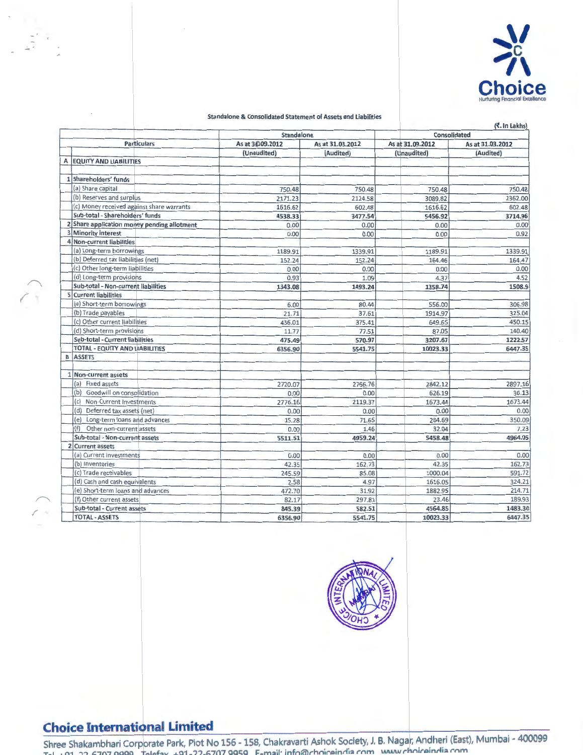

#### Standalone & Consolidated Statement of Assets and Liabilities

|                                                              |                 |                  |                  | (て. In Lakhs)    |  |  |
|--------------------------------------------------------------|-----------------|------------------|------------------|------------------|--|--|
|                                                              | Standalone      |                  | Consolidated     |                  |  |  |
| <b>Particulars</b>                                           | As at 3009.2012 | As at 31.03.2012 | As at 31.09.2012 | As at 31.03.2012 |  |  |
|                                                              | (Unaudited)     | (Audited)        | (Unaudited)      | (Audited)        |  |  |
| A EQUITY AND LIABILITIES                                     |                 |                  |                  |                  |  |  |
| 1 Shareholders' funds                                        |                 |                  |                  |                  |  |  |
| (a) Share capital                                            |                 |                  |                  |                  |  |  |
| (b) Reserves and surplus                                     | 750.48          | 750.48           | 750.48           | 750.48           |  |  |
|                                                              | 2171.23         | 2124.58          | 3089.82          | 2362.00          |  |  |
| (c) Money received against share warrants                    | 1616.62         | 602.48           | 1616.62          | 602.48           |  |  |
| Sub-total - Shareholders' funds                              | 4538.33         | 3477.54          | 5456.92          | 3714.96          |  |  |
| 2 Share application money pending allotment                  | 0.00            | 0.00             | 0.00             | 0.00             |  |  |
| 3 Minority interest<br>4 Non-current liabilities             | 0.00            | 0.00             | 0.00             | 0.92             |  |  |
| (a) Long-term borrowings                                     |                 |                  |                  |                  |  |  |
| (b) Deferred tax liabilities (net)                           | 1189.91         | 1339.91          | 1189.91          | 1339.91          |  |  |
| (c) Other long-term liabilities                              | 152.24          | 152.24           | 164.46           | 164.47           |  |  |
|                                                              | 0.00            | 0.00             | 0.00             | 0.00             |  |  |
| (d) Long-term provisions                                     | 0.93            | 1.09             | 4.37             | 4.52             |  |  |
| Sub-total - Non-current liabilities<br>5 Current liabilities | 1343.08         | 1493.24          | 1358.74          | 1508.9           |  |  |
|                                                              |                 |                  |                  |                  |  |  |
| (a) Short-term borrowings                                    | 6.00            | 80.44            | 556.00           | 306.98           |  |  |
| (b) Trade payables                                           | 21.71           | 37.61            | 1914.97          | 325.04           |  |  |
| (c) Other current liabilities                                | 436.01          | 375.41           | 649.65           | 450.15           |  |  |
| (d) Short-term provisions                                    | 11.77           | 77.51            | 87.05            | 140.40           |  |  |
| Sub-total - Current liabilities                              | 475.49          | 570.97           | 3207.67          | 1222.57          |  |  |
| TOTAL - EQUITY AND LIABILITIES                               | 6356.90         | 5541.75          | 10023.33         | 6447.35          |  |  |
| <b>B</b> ASSETS                                              |                 |                  |                  |                  |  |  |
|                                                              |                 |                  |                  |                  |  |  |
| 1 Non-current assets                                         |                 |                  |                  |                  |  |  |
| (a) Fixed assets                                             | 2720.07         | 2766.76          | 2842.12          | 2897.16          |  |  |
| (b) Goodwill on consolidation                                | 0.00            | 0.00             | 626.19           | 36.13            |  |  |
| (c) Non-Current Investments                                  | 2776.16         | 2119.37          | 1673.44          | 1673.44          |  |  |
| (d) Deferred tax assets (net)                                | 0.00            | 0.00             | 0.00             | 0.00             |  |  |
| (e) Long-term loans and advances                             | 15.28           | 71.65            | 284.69           | 350.09           |  |  |
| (f)<br>Other non-current assets                              | 0.00            | 1.46             | 32.04            | 7.23             |  |  |
| Sub-total - Non-current assets                               | 5511.51         | 4959.24          | 5458.48          | 4964.05          |  |  |
| 2 Current assets                                             |                 |                  |                  |                  |  |  |
| (a) Current investments                                      | 0.00            | 0.00             | 0.00             | 0.00             |  |  |
| (b) Inventories                                              | 42.35           | 162.73           | 42.35            | 162.73           |  |  |
| (c) Trade receivables                                        | 245.59          | 85.08            | 1000.04          | 591.72           |  |  |
| (d) Cash and cash equivalents                                | 2.58            | 4.97             | 1616.05          | 324.21           |  |  |
| (e) Short-term loans and advances                            | 472.70          | 31.92            | 1882.95          | 214.71           |  |  |
| (f) Other current assets                                     | 82.17           | 297.81           | 23.46            | 189.93           |  |  |
| Sub-total - Current assets                                   | 845.39          | 582.51           | 4564.85          | 1483.30          |  |  |
| <b>TOTAL - ASSETS</b>                                        | 6356.90         | 5541.75          | 10023.33         | 6447.35          |  |  |



# **Choice International Limited**

**Shree Shakambhari Corpprate Park, Plot No 156 - 158, Chakravarti Ashok Society, J. B. Naga , Andheri (East), Mumbai - 400099** · · · · **.:tinni::. rnm www** *r* **1tnir.:»innia rnm Tel. +91-22-6707 9999 Tell!!fax. +91-2?-6707 qqc;q F- m::.1l mfn®rnnar**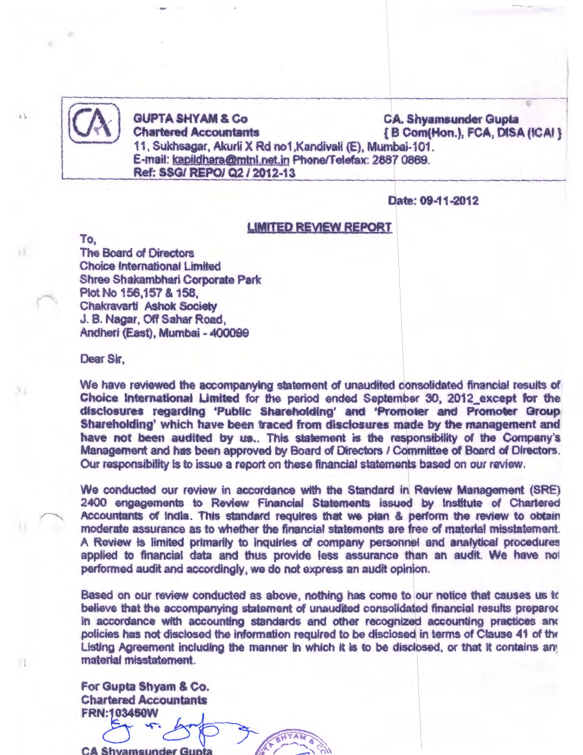11, Sukhsagar, Akurli X Rd no1, Kandivali (E), Mumbai-101. E-mail: kapildhara@mtnl.net.in Phone/Telefax: 2887 0869.

Ref: SSG/ REPOI Q2 I 2012-13

GUPTA SHYAM & Co CA. Shyamsunder Gupta<br>Chartered Accountants (B Com(Hon.), FCA, DIS/  $\{B\text{ Com(Hon.)}, FCA, DISA (ICAI)\}$ 

 $\approx$ 

Date: 09-11-2012

#### LIMITED REVIEW REPORT

To,

 $\mathbf{Y}$ 

Xi

 $\mathbf{I}$ 

The Board of Directors Choice International Limited Shree Shakambhari Corporate Park Plot No 156,157 & 158, Chakravarti Ashok Society J. B. Nagar, Off Sahar Road, Andheri (East), Mumbai- 400099

Dear Sir,

We have reviewed the accompanying statement of unaudited consolidated financial results of Choice International Limited for the period ended September 30, 2012\_except for the disclosures regarding 'Public Shareholding' and 'Promoter and Promoter Group Shareholding' which have been traced from disclosures made by the management and have not been audited by us.. This statement is the responsibility of the Company's Management and has been approved by Board of Directors / Committee of Board of Directors. Our responsibility is to issue a report on these financial statements based on our review.

We conducted our review in accordance with the Standard in Review Management (SRE) 2400 engagements to Review Financial Statements issued by Institute of Chartered Accountants of India. This standard requires that we plan & perform the review to obtain moderate assurance as to whether the financial statements are free of material misstatement. A Review is limited primarily to inquiries of company personnel and analytical procedures applied to financial data and thus provide less assurance than an audit. We have not performed audit and accordingly, we do not express an audit opinion.

Based on our review conducted as above, nothing has come to our notice that causes us tc believe that the accompanying statement of unaudited consolidated financial results prepared in accordance with accounting standards and other recognized accounting practices and policies has not disclosed the information required to be disclosed in terms of Clause 41 of the Listing Agreement including the manner in which it is to be disclosed, or that it contains any material misstatement.

 $\mathsf c$ 

For Gupta Shyam & Co. Chartered Accountants  $A = 18$  Co.

FRN:103450~ *b* '  $\smash{\smash{\bigcup}}$ CA Shyamsunder Gupta